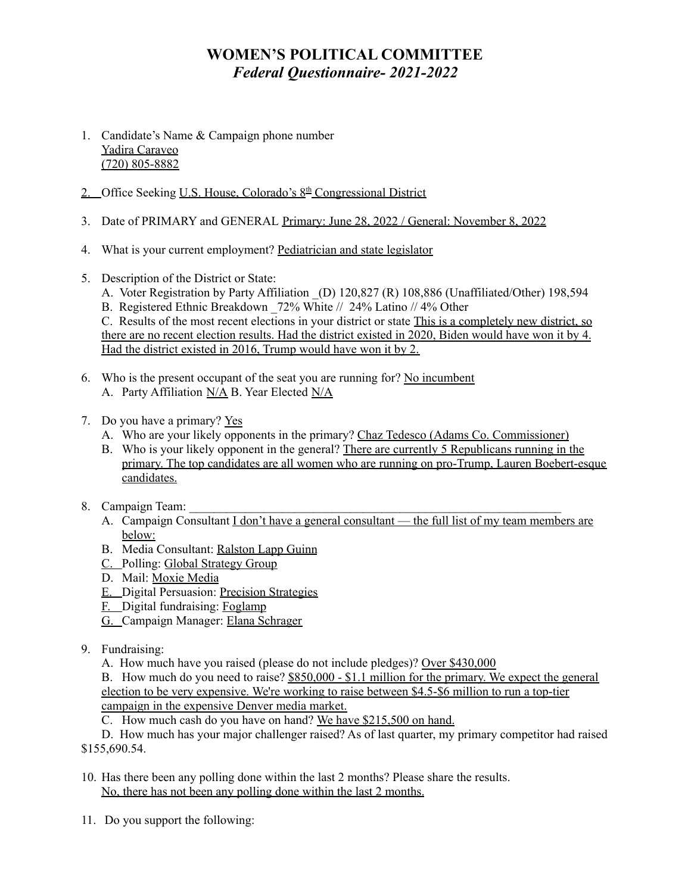# **WOMEN'S POLITICAL COMMITTEE** *Federal Questionnaire- 2021-2022*

- 1. Candidate's Name & Campaign phone number Yadira Caraveo (720) 805-8882
- 2. Office Seeking U.S. House, Colorado's 8<sup>th</sup> Congressional District
- 3. Date of PRIMARY and GENERAL Primary: June 28, 2022 / General: November 8, 2022
- 4. What is your current employment? Pediatrician and state legislator
- 5. Description of the District or State:
	- A. Voter Registration by Party Affiliation (D) 120,827 (R) 108,886 (Unaffiliated/Other) 198,594
	- B. Registered Ethnic Breakdown 72% White // 24% Latino // 4% Other

C. Results of the most recent elections in your district or state This is a completely new district, so there are no recent election results. Had the district existed in 2020, Biden would have won it by 4. Had the district existed in 2016, Trump would have won it by 2.

- 6. Who is the present occupant of the seat you are running for? No incumbent A. Party Affiliation N/A B. Year Elected N/A
- 7. Do you have a primary? Yes
	- A. Who are your likely opponents in the primary? Chaz Tedesco (Adams Co. Commissioner)
	- B. Who is your likely opponent in the general? There are currently 5 Republicans running in the primary. The top candidates are all women who are running on pro-Trump, Lauren Boebert-esque candidates.
- 8. Campaign Team:
	- A. Campaign Consultant  $I$  don't have a general consultant the full list of my team members are below:
	- B. Media Consultant: Ralston Lapp Guinn
	- C. Polling: Global Strategy Group
	- D. Mail: Moxie Media
	- E. Digital Persuasion: Precision Strategies
	- F. Digital fundraising: Foglamp
	- G. Campaign Manager: Elana Schrager
- 9. Fundraising:
	- A. How much have you raised (please do not include pledges)? Over \$430,000

B. How much do you need to raise? \$850,000 - \$1.1 million for the primary. We expect the general election to be very expensive. We're working to raise between \$4.5-\$6 million to run a top-tier campaign in the expensive Denver media market.

C. How much cash do you have on hand? We have \$215,500 on hand.

D. How much has your major challenger raised? As of last quarter, my primary competitor had raised \$155,690.54.

- 10. Has there been any polling done within the last 2 months? Please share the results. No, there has not been any polling done within the last 2 months.
- 11. Do you support the following: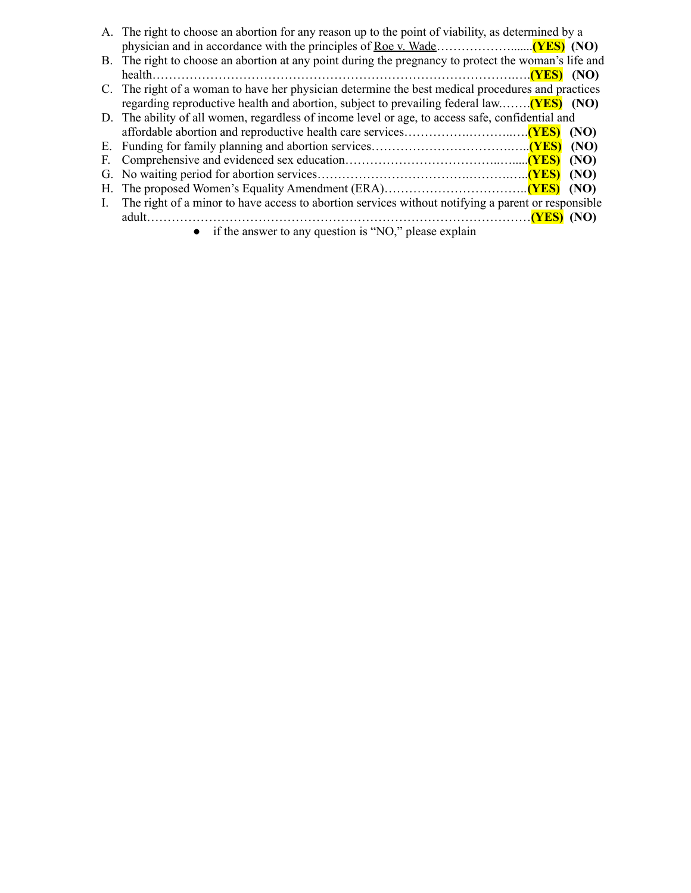|              | A. The right to choose an abortion for any reason up to the point of viability, as determined by a   |  |  |
|--------------|------------------------------------------------------------------------------------------------------|--|--|
|              |                                                                                                      |  |  |
|              | B. The right to choose an abortion at any point during the pregnancy to protect the woman's life and |  |  |
|              |                                                                                                      |  |  |
|              | C. The right of a woman to have her physician determine the best medical procedures and practices    |  |  |
|              | regarding reproductive health and abortion, subject to prevailing federal law( <b>YES</b> ) (NO)     |  |  |
|              | D. The ability of all women, regardless of income level or age, to access safe, confidential and     |  |  |
|              |                                                                                                      |  |  |
|              |                                                                                                      |  |  |
| F.           |                                                                                                      |  |  |
|              |                                                                                                      |  |  |
|              |                                                                                                      |  |  |
| $\mathbf{L}$ | The right of a minor to have access to abortion services without notifying a parent or responsible   |  |  |
|              |                                                                                                      |  |  |
|              | • if the answer to any question is "NO," please explain                                              |  |  |